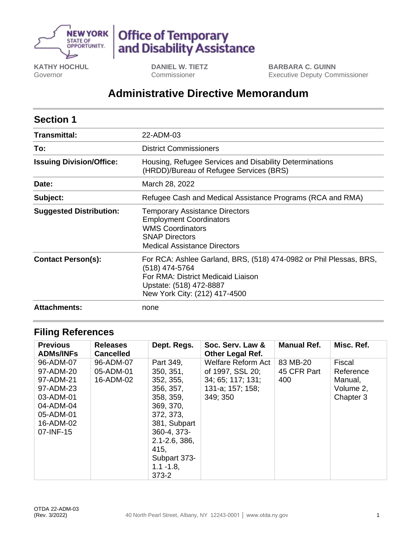

# Office of Temporary<br>and Disability Assistance

**KATHY HOCHUL** Governor

**DANIEL W. TIETZ** Commissioner

**BARBARA C. GUINN** Executive Deputy Commissioner

## **Administrative Directive Memorandum**

| <b>Section 1</b>                |                                                                                                                                                                                        |  |  |  |
|---------------------------------|----------------------------------------------------------------------------------------------------------------------------------------------------------------------------------------|--|--|--|
| Transmittal:                    | 22-ADM-03                                                                                                                                                                              |  |  |  |
| To:                             | <b>District Commissioners</b>                                                                                                                                                          |  |  |  |
| <b>Issuing Division/Office:</b> | Housing, Refugee Services and Disability Determinations<br>(HRDD)/Bureau of Refugee Services (BRS)                                                                                     |  |  |  |
| Date:                           | March 28, 2022                                                                                                                                                                         |  |  |  |
| Subject:                        | Refugee Cash and Medical Assistance Programs (RCA and RMA)                                                                                                                             |  |  |  |
| <b>Suggested Distribution:</b>  | <b>Temporary Assistance Directors</b><br><b>Employment Coordinators</b><br><b>WMS Coordinators</b><br><b>SNAP Directors</b><br><b>Medical Assistance Directors</b>                     |  |  |  |
| <b>Contact Person(s):</b>       | For RCA: Ashlee Garland, BRS, (518) 474-0982 or Phil Plessas, BRS,<br>(518) 474-5764<br>For RMA: District Medicaid Liaison<br>Upstate: (518) 472-8887<br>New York City: (212) 417-4500 |  |  |  |
| <b>Attachments:</b>             | none                                                                                                                                                                                   |  |  |  |

## **Filing References**

| <b>Previous</b><br><b>ADMs/INFs</b>                                                                               | <b>Releases</b><br><b>Cancelled</b> | Dept. Regs.                                                                                                                                                                                       | Soc. Serv. Law &<br><b>Other Legal Ref.</b>                                                        | <b>Manual Ref.</b>             | Misc. Ref.                                               |
|-------------------------------------------------------------------------------------------------------------------|-------------------------------------|---------------------------------------------------------------------------------------------------------------------------------------------------------------------------------------------------|----------------------------------------------------------------------------------------------------|--------------------------------|----------------------------------------------------------|
| 96-ADM-07<br>97-ADM-20<br>97-ADM-21<br>97-ADM-23<br>03-ADM-01<br>04-ADM-04<br>05-ADM-01<br>16-ADM-02<br>07-INF-15 | 96-ADM-07<br>05-ADM-01<br>16-ADM-02 | Part 349,<br>350, 351,<br>352, 355,<br>356, 357,<br>358, 359,<br>369, 370,<br>372, 373,<br>381, Subpart<br>360-4, 373-<br>$2.1 - 2.6, 386,$<br>415.<br>Subpart 373-<br>$1.1 - 1.8$ ,<br>$373 - 2$ | <b>Welfare Reform Act</b><br>of 1997, SSL 20;<br>34: 65: 117: 131:<br>131-a; 157; 158;<br>349; 350 | 83 MB-20<br>45 CFR Part<br>400 | Fiscal<br>Reference<br>Manual,<br>Volume 2,<br>Chapter 3 |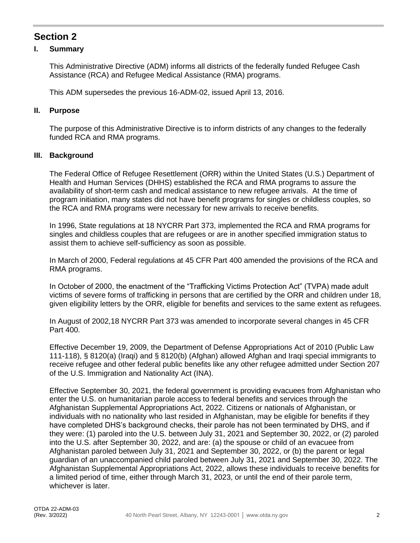## **Section 2**

#### **I. Summary**

This Administrative Directive (ADM) informs all districts of the federally funded Refugee Cash Assistance (RCA) and Refugee Medical Assistance (RMA) programs.

This ADM supersedes the previous 16-ADM-02, issued April 13, 2016.

#### **II. Purpose**

The purpose of this Administrative Directive is to inform districts of any changes to the federally funded RCA and RMA programs.

#### **III. Background**

The Federal Office of Refugee Resettlement (ORR) within the United States (U.S.) Department of Health and Human Services (DHHS) established the RCA and RMA programs to assure the availability of short-term cash and medical assistance to new refugee arrivals. At the time of program initiation, many states did not have benefit programs for singles or childless couples, so the RCA and RMA programs were necessary for new arrivals to receive benefits.

In 1996, State regulations at 18 NYCRR Part 373, implemented the RCA and RMA programs for singles and childless couples that are refugees or are in another specified immigration status to assist them to achieve self-sufficiency as soon as possible.

In March of 2000, Federal regulations at 45 CFR Part 400 amended the provisions of the RCA and RMA programs.

In October of 2000, the enactment of the "Trafficking Victims Protection Act" (TVPA) made adult victims of severe forms of trafficking in persons that are certified by the ORR and children under 18, given eligibility letters by the ORR, eligible for benefits and services to the same extent as refugees.

In August of 2002,18 NYCRR Part 373 was amended to incorporate several changes in 45 CFR Part 400.

Effective December 19, 2009, the Department of Defense Appropriations Act of 2010 (Public Law 111-118), § 8120(a) (Iraqi) and § 8120(b) (Afghan) allowed Afghan and Iraqi special immigrants to receive refugee and other federal public benefits like any other refugee admitted under Section 207 of the U.S. Immigration and Nationality Act (INA).

Effective September 30, 2021, the federal government is providing evacuees from Afghanistan who enter the U.S. on humanitarian parole access to federal benefits and services through the Afghanistan Supplemental Appropriations Act, 2022. Citizens or nationals of Afghanistan, or individuals with no nationality who last resided in Afghanistan, may be eligible for benefits if they have completed DHS's background checks, their parole has not been terminated by DHS, and if they were: (1) paroled into the U.S. between July 31, 2021 and September 30, 2022, or (2) paroled into the U.S. after September 30, 2022, and are: (a) the spouse or child of an evacuee from Afghanistan paroled between July 31, 2021 and September 30, 2022, or (b) the parent or legal guardian of an unaccompanied child paroled between July 31, 2021 and September 30, 2022. The Afghanistan Supplemental Appropriations Act, 2022, allows these individuals to receive benefits for a limited period of time, either through March 31, 2023, or until the end of their parole term, whichever is later.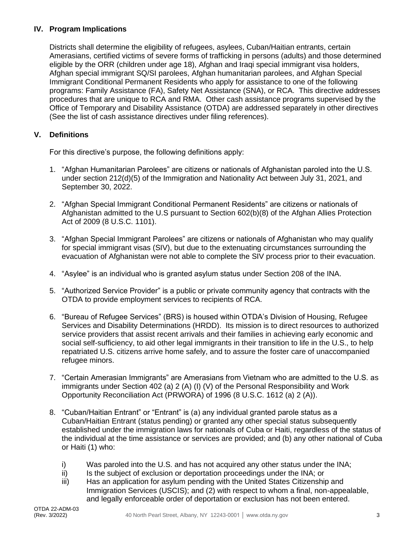#### **IV. Program Implications**

Districts shall determine the eligibility of refugees, asylees, Cuban/Haitian entrants, certain Amerasians, certified victims of severe forms of trafficking in persons (adults) and those determined eligible by the ORR (children under age 18), Afghan and Iraqi special immigrant visa holders, Afghan special immigrant SQ/SI parolees, Afghan humanitarian parolees, and Afghan Special Immigrant Conditional Permanent Residents who apply for assistance to one of the following programs: Family Assistance (FA), Safety Net Assistance (SNA), or RCA. This directive addresses procedures that are unique to RCA and RMA. Other cash assistance programs supervised by the Office of Temporary and Disability Assistance (OTDA) are addressed separately in other directives (See the list of cash assistance directives under filing references).

#### **V. Definitions**

For this directive's purpose, the following definitions apply:

- 1. "Afghan Humanitarian Parolees" are citizens or nationals of Afghanistan paroled into the U.S. under section 212(d)(5) of the Immigration and Nationality Act between July 31, 2021, and September 30, 2022.
- 2. "Afghan Special Immigrant Conditional Permanent Residents" are citizens or nationals of Afghanistan admitted to the U.S pursuant to Section 602(b)(8) of the Afghan Allies Protection Act of 2009 (8 U.S.C. 1101).
- 3. "Afghan Special Immigrant Parolees" are citizens or nationals of Afghanistan who may qualify for special immigrant visas (SIV), but due to the extenuating circumstances surrounding the evacuation of Afghanistan were not able to complete the SIV process prior to their evacuation.
- 4. "Asylee" is an individual who is granted asylum status under Section 208 of the INA.
- 5. "Authorized Service Provider" is a public or private community agency that contracts with the OTDA to provide employment services to recipients of RCA.
- 6. "Bureau of Refugee Services" (BRS) is housed within OTDA's Division of Housing, Refugee Services and Disability Determinations (HRDD). Its mission is to direct resources to authorized service providers that assist recent arrivals and their families in achieving early economic and social self-sufficiency, to aid other legal immigrants in their transition to life in the U.S., to help repatriated U.S. citizens arrive home safely, and to assure the foster care of unaccompanied refugee minors.
- 7. "Certain Amerasian Immigrants" are Amerasians from Vietnam who are admitted to the U.S. as immigrants under Section 402 (a) 2 (A) (I) (V) of the Personal Responsibility and Work Opportunity Reconciliation Act (PRWORA) of 1996 (8 U.S.C. 1612 (a) 2 (A)).
- 8. "Cuban/Haitian Entrant" or "Entrant" is (a) any individual granted parole status as a Cuban/Haitian Entrant (status pending) or granted any other special status subsequently established under the immigration laws for nationals of Cuba or Haiti, regardless of the status of the individual at the time assistance or services are provided; and (b) any other national of Cuba or Haiti (1) who:
	- i) Was paroled into the U.S. and has not acquired any other status under the INA;
	- ii) Is the subject of exclusion or deportation proceedings under the INA; or
	- iii) Has an application for asylum pending with the United States Citizenship and Immigration Services (USCIS); and (2) with respect to whom a final, non-appealable, and legally enforceable order of deportation or exclusion has not been entered.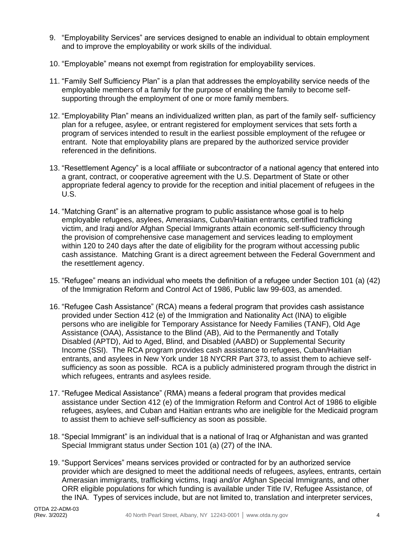- 9. "Employability Services" are services designed to enable an individual to obtain employment and to improve the employability or work skills of the individual.
- 10. "Employable" means not exempt from registration for employability services.
- 11. "Family Self Sufficiency Plan" is a plan that addresses the employability service needs of the employable members of a family for the purpose of enabling the family to become selfsupporting through the employment of one or more family members.
- 12. "Employability Plan" means an individualized written plan, as part of the family self- sufficiency plan for a refugee, asylee, or entrant registered for employment services that sets forth a program of services intended to result in the earliest possible employment of the refugee or entrant. Note that employability plans are prepared by the authorized service provider referenced in the definitions.
- 13. "Resettlement Agency" is a local affiliate or subcontractor of a national agency that entered into a grant, contract, or cooperative agreement with the U.S. Department of State or other appropriate federal agency to provide for the reception and initial placement of refugees in the U.S.
- 14. "Matching Grant" is an alternative program to public assistance whose goal is to help employable refugees, asylees, Amerasians, Cuban/Haitian entrants, certified trafficking victim, and Iraqi and/or Afghan Special Immigrants attain economic self-sufficiency through the provision of comprehensive case management and services leading to employment within 120 to 240 days after the date of eligibility for the program without accessing public cash assistance. Matching Grant is a direct agreement between the Federal Government and the resettlement agency.
- 15. "Refugee" means an individual who meets the definition of a refugee under Section 101 (a) (42) of the Immigration Reform and Control Act of 1986, Public law 99-603, as amended.
- 16. "Refugee Cash Assistance" (RCA) means a federal program that provides cash assistance provided under Section 412 (e) of the Immigration and Nationality Act (INA) to eligible persons who are ineligible for Temporary Assistance for Needy Families (TANF), Old Age Assistance (OAA), Assistance to the Blind (AB), Aid to the Permanently and Totally Disabled (APTD), Aid to Aged, Blind, and Disabled (AABD) or Supplemental Security Income (SSI). The RCA program provides cash assistance to refugees, Cuban/Haitian entrants, and asylees in New York under 18 NYCRR Part 373, to assist them to achieve selfsufficiency as soon as possible. RCA is a publicly administered program through the district in which refugees, entrants and asylees reside.
- 17. "Refugee Medical Assistance" (RMA) means a federal program that provides medical assistance under Section 412 (e) of the Immigration Reform and Control Act of 1986 to eligible refugees, asylees, and Cuban and Haitian entrants who are ineligible for the Medicaid program to assist them to achieve self-sufficiency as soon as possible.
- 18. "Special Immigrant" is an individual that is a national of Iraq or Afghanistan and was granted Special Immigrant status under Section 101 (a) (27) of the INA.
- 19. "Support Services" means services provided or contracted for by an authorized service provider which are designed to meet the additional needs of refugees, asylees, entrants, certain Amerasian immigrants, trafficking victims, Iraqi and/or Afghan Special Immigrants, and other ORR eligible populations for which funding is available under Title IV, Refugee Assistance, of the INA. Types of services include, but are not limited to, translation and interpreter services,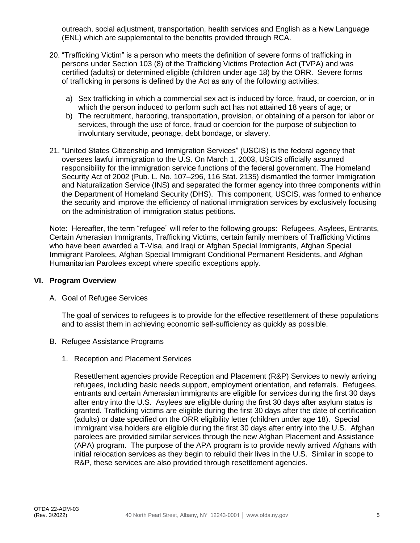outreach, social adjustment, transportation, health services and English as a New Language (ENL) which are supplemental to the benefits provided through RCA.

- 20. "Trafficking Victim" is a person who meets the definition of severe forms of trafficking in persons under Section 103 (8) of the Trafficking Victims Protection Act (TVPA) and was certified (adults) or determined eligible (children under age 18) by the ORR. Severe forms of trafficking in persons is defined by the Act as any of the following activities:
	- a) Sex trafficking in which a commercial sex act is induced by force, fraud, or coercion, or in which the person induced to perform such act has not attained 18 years of age; or
	- b) The recruitment, harboring, transportation, provision, or obtaining of a person for labor or services, through the use of force, fraud or coercion for the purpose of subjection to involuntary servitude, peonage, debt bondage, or slavery.
- 21. "United States Citizenship and Immigration Services" (USCIS) is the federal agency that oversees lawful immigration to the U.S. On March 1, 2003, USCIS officially assumed responsibility for the immigration service functions of the federal government. The Homeland Security Act of 2002 (Pub. L. No. 107–296, 116 Stat. 2135) dismantled the former Immigration and Naturalization Service (INS) and separated the former agency into three components within the Department of Homeland Security (DHS). This component, USCIS, was formed to enhance the security and improve the efficiency of national immigration services by exclusively focusing on the administration of immigration status petitions.

Note: Hereafter, the term "refugee" will refer to the following groups: Refugees, Asylees, Entrants, Certain Amerasian Immigrants, Trafficking Victims, certain family members of Trafficking Victims who have been awarded a T-Visa, and Iraqi or Afghan Special Immigrants, Afghan Special Immigrant Parolees, Afghan Special Immigrant Conditional Permanent Residents, and Afghan Humanitarian Parolees except where specific exceptions apply.

#### **VI. Program Overview**

A. Goal of Refugee Services

The goal of services to refugees is to provide for the effective resettlement of these populations and to assist them in achieving economic self-sufficiency as quickly as possible.

- B. Refugee Assistance Programs
	- 1. Reception and Placement Services

Resettlement agencies provide Reception and Placement (R&P) Services to newly arriving refugees, including basic needs support, employment orientation, and referrals. Refugees, entrants and certain Amerasian immigrants are eligible for services during the first 30 days after entry into the U.S. Asylees are eligible during the first 30 days after asylum status is granted. Trafficking victims are eligible during the first 30 days after the date of certification (adults) or date specified on the ORR eligibility letter (children under age 18). Special immigrant visa holders are eligible during the first 30 days after entry into the U.S. Afghan parolees are provided similar services through the new Afghan Placement and Assistance (APA) program. The purpose of the APA program is to provide newly arrived Afghans with initial relocation services as they begin to rebuild their lives in the U.S. Similar in scope to R&P, these services are also provided through resettlement agencies.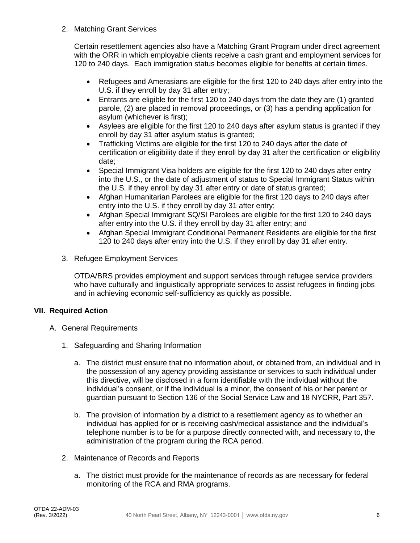2. Matching Grant Services

Certain resettlement agencies also have a Matching Grant Program under direct agreement with the ORR in which employable clients receive a cash grant and employment services for 120 to 240 days. Each immigration status becomes eligible for benefits at certain times.

- Refugees and Amerasians are eligible for the first 120 to 240 days after entry into the U.S. if they enroll by day 31 after entry;
- Entrants are eligible for the first 120 to 240 days from the date they are (1) granted parole, (2) are placed in removal proceedings, or (3) has a pending application for asylum (whichever is first);
- Asylees are eligible for the first 120 to 240 days after asylum status is granted if they enroll by day 31 after asylum status is granted;
- Trafficking Victims are eligible for the first 120 to 240 days after the date of certification or eligibility date if they enroll by day 31 after the certification or eligibility date;
- Special Immigrant Visa holders are eligible for the first 120 to 240 days after entry into the U.S., or the date of adjustment of status to Special Immigrant Status within the U.S. if they enroll by day 31 after entry or date of status granted;
- Afghan Humanitarian Parolees are eligible for the first 120 days to 240 days after entry into the U.S. if they enroll by day 31 after entry;
- Afghan Special Immigrant SQ/SI Parolees are eligible for the first 120 to 240 days after entry into the U.S. if they enroll by day 31 after entry; and
- Afghan Special Immigrant Conditional Permanent Residents are eligible for the first 120 to 240 days after entry into the U.S. if they enroll by day 31 after entry.
- 3. Refugee Employment Services

OTDA/BRS provides employment and support services through refugee service providers who have culturally and linguistically appropriate services to assist refugees in finding jobs and in achieving economic self-sufficiency as quickly as possible.

#### **VII. Required Action**

- A. General Requirements
	- 1. Safeguarding and Sharing Information
		- a. The district must ensure that no information about, or obtained from, an individual and in the possession of any agency providing assistance or services to such individual under this directive, will be disclosed in a form identifiable with the individual without the individual's consent, or if the individual is a minor, the consent of his or her parent or guardian pursuant to Section 136 of the Social Service Law and 18 NYCRR, Part 357.
		- b. The provision of information by a district to a resettlement agency as to whether an individual has applied for or is receiving cash/medical assistance and the individual's telephone number is to be for a purpose directly connected with, and necessary to, the administration of the program during the RCA period.
	- 2. Maintenance of Records and Reports
		- a. The district must provide for the maintenance of records as are necessary for federal monitoring of the RCA and RMA programs.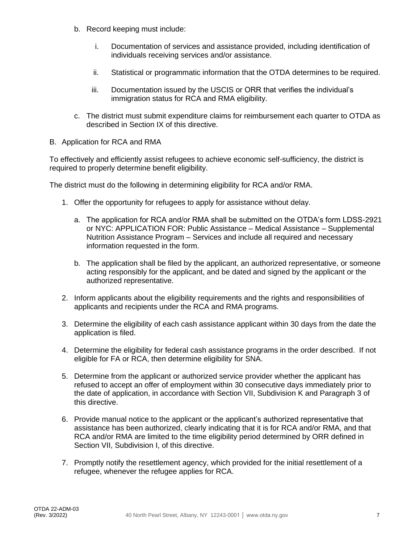- b. Record keeping must include:
	- i. Documentation of services and assistance provided, including identification of individuals receiving services and/or assistance.
	- ii. Statistical or programmatic information that the OTDA determines to be required.
	- iii. Documentation issued by the USCIS or ORR that verifies the individual's immigration status for RCA and RMA eligibility.
- c. The district must submit expenditure claims for reimbursement each quarter to OTDA as described in Section IX of this directive.
- B. Application for RCA and RMA

To effectively and efficiently assist refugees to achieve economic self-sufficiency, the district is required to properly determine benefit eligibility.

The district must do the following in determining eligibility for RCA and/or RMA.

- 1. Offer the opportunity for refugees to apply for assistance without delay.
	- a. The application for RCA and/or RMA shall be submitted on the OTDA's form LDSS-2921 or NYC: APPLICATION FOR: Public Assistance – Medical Assistance – Supplemental Nutrition Assistance Program – Services and include all required and necessary information requested in the form.
	- b. The application shall be filed by the applicant, an authorized representative, or someone acting responsibly for the applicant, and be dated and signed by the applicant or the authorized representative.
- 2. Inform applicants about the eligibility requirements and the rights and responsibilities of applicants and recipients under the RCA and RMA programs.
- 3. Determine the eligibility of each cash assistance applicant within 30 days from the date the application is filed.
- 4. Determine the eligibility for federal cash assistance programs in the order described. If not eligible for FA or RCA, then determine eligibility for SNA.
- 5. Determine from the applicant or authorized service provider whether the applicant has refused to accept an offer of employment within 30 consecutive days immediately prior to the date of application, in accordance with Section VII, Subdivision K and Paragraph 3 of this directive.
- 6. Provide manual notice to the applicant or the applicant's authorized representative that assistance has been authorized, clearly indicating that it is for RCA and/or RMA, and that RCA and/or RMA are limited to the time eligibility period determined by ORR defined in Section VII, Subdivision I, of this directive.
- 7. Promptly notify the resettlement agency, which provided for the initial resettlement of a refugee, whenever the refugee applies for RCA.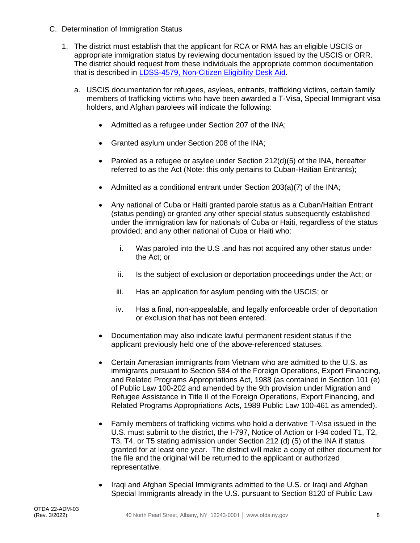- C. Determination of Immigration Status
	- 1. The district must establish that the applicant for RCA or RMA has an eligible USCIS or appropriate immigration status by reviewing documentation issued by the USCIS or ORR. The district should request from these individuals the appropriate common documentation that is described in [LDSS-4579, Non-Citizen Eligibility Desk Aid.](https://otda.ny.gov/policy/directives/2021/LCM/21-LCM-21-Attachment-1.pdf)
		- a. USCIS documentation for refugees, asylees, entrants, trafficking victims, certain family members of trafficking victims who have been awarded a T-Visa, Special Immigrant visa holders, and Afghan parolees will indicate the following:
			- Admitted as a refugee under Section 207 of the INA;
			- Granted asylum under Section 208 of the INA;
			- Paroled as a refugee or asylee under Section 212(d)(5) of the INA, hereafter referred to as the Act (Note: this only pertains to Cuban-Haitian Entrants);
			- Admitted as a conditional entrant under Section 203(a)(7) of the INA;
			- Any national of Cuba or Haiti granted parole status as a Cuban/Haitian Entrant (status pending) or granted any other special status subsequently established under the immigration law for nationals of Cuba or Haiti, regardless of the status provided; and any other national of Cuba or Haiti who:
				- i. Was paroled into the U.S .and has not acquired any other status under the Act; or
				- ii. Is the subject of exclusion or deportation proceedings under the Act; or
				- iii. Has an application for asylum pending with the USCIS; or
				- iv. Has a final, non-appealable, and legally enforceable order of deportation or exclusion that has not been entered.
			- Documentation may also indicate lawful permanent resident status if the applicant previously held one of the above-referenced statuses.
			- Certain Amerasian immigrants from Vietnam who are admitted to the U.S. as immigrants pursuant to Section 584 of the Foreign Operations, Export Financing, and Related Programs Appropriations Act, 1988 (as contained in Section 101 (e) of Public Law 100-202 and amended by the 9th provision under Migration and Refugee Assistance in Title II of the Foreign Operations, Export Financing, and Related Programs Appropriations Acts, 1989 Public Law 100-461 as amended).
			- Family members of trafficking victims who hold a derivative T-Visa issued in the U.S. must submit to the district, the I-797, Notice of Action or I-94 coded T1, T2, T3, T4, or T5 stating admission under Section 212 (d) (5) of the INA if status granted for at least one year. The district will make a copy of either document for the file and the original will be returned to the applicant or authorized representative.
			- Iraqi and Afghan Special Immigrants admitted to the U.S. or Iraqi and Afghan Special Immigrants already in the U.S. pursuant to Section 8120 of Public Law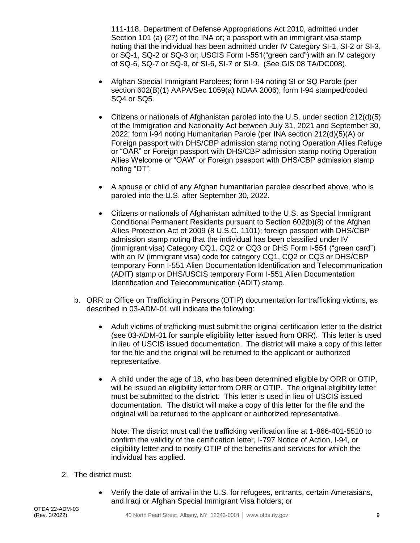111-118, Department of Defense Appropriations Act 2010, admitted under Section 101 (a) (27) of the INA or; a passport with an immigrant visa stamp noting that the individual has been admitted under IV Category SI-1, SI-2 or SI-3, or SQ-1, SQ-2 or SQ-3 or; USCIS Form I-551("green card") with an IV category of SQ-6, SQ-7 or SQ-9, or SI-6, SI-7 or SI-9. (See GIS 08 TA/DC008).

- Afghan Special Immigrant Parolees; form I-94 noting SI or SQ Parole (per section 602(B)(1) AAPA/Sec 1059(a) NDAA 2006); form I-94 stamped/coded SQ4 or SQ5.
- Citizens or nationals of Afghanistan paroled into the U.S. under section 212(d)(5) of the Immigration and Nationality Act between July 31, 2021 and September 30, 2022; form I-94 noting Humanitarian Parole (per INA section 212(d)(5)(A) or Foreign passport with DHS/CBP admission stamp noting Operation Allies Refuge or "OAR" or Foreign passport with DHS/CBP admission stamp noting Operation Allies Welcome or "OAW" or Foreign passport with DHS/CBP admission stamp noting "DT".
- A spouse or child of any Afghan humanitarian parolee described above, who is paroled into the U.S. after September 30, 2022.
- Citizens or nationals of Afghanistan admitted to the U.S. as Special Immigrant Conditional Permanent Residents pursuant to Section 602(b)(8) of the Afghan Allies Protection Act of 2009 (8 U.S.C. 1101); foreign passport with DHS/CBP admission stamp noting that the individual has been classified under IV (immigrant visa) Category CQ1, CQ2 or CQ3 or DHS Form I-551 ("green card") with an IV (immigrant visa) code for category CQ1, CQ2 or CQ3 or DHS/CBP temporary Form I-551 Alien Documentation Identification and Telecommunication (ADIT) stamp or DHS/USCIS temporary Form I-551 Alien Documentation Identification and Telecommunication (ADIT) stamp.
- b. ORR or Office on Trafficking in Persons (OTIP) documentation for trafficking victims, as described in 03-ADM-01 will indicate the following:
	- Adult victims of trafficking must submit the original certification letter to the district (see 03-ADM-01 for sample eligibility letter issued from ORR). This letter is used in lieu of USCIS issued documentation. The district will make a copy of this letter for the file and the original will be returned to the applicant or authorized representative.
	- A child under the age of 18, who has been determined eligible by ORR or OTIP, will be issued an eligibility letter from ORR or OTIP. The original eligibility letter must be submitted to the district. This letter is used in lieu of USCIS issued documentation. The district will make a copy of this letter for the file and the original will be returned to the applicant or authorized representative.

Note: The district must call the trafficking verification line at 1-866-401-5510 to confirm the validity of the certification letter, I-797 Notice of Action, I-94, or eligibility letter and to notify OTIP of the benefits and services for which the individual has applied.

- 2. The district must:
	- Verify the date of arrival in the U.S. for refugees, entrants, certain Amerasians, and Iraqi or Afghan Special Immigrant Visa holders; or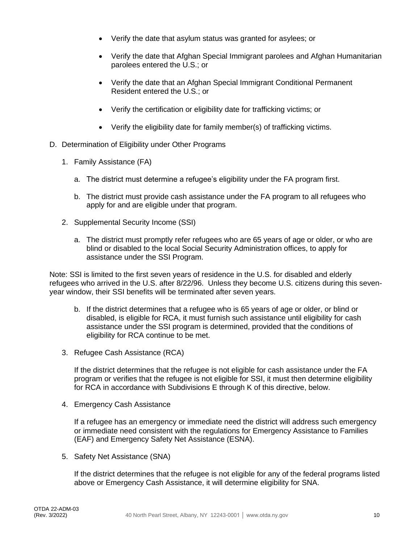- Verify the date that asylum status was granted for asylees; or
- Verify the date that Afghan Special Immigrant parolees and Afghan Humanitarian parolees entered the U.S.; or
- Verify the date that an Afghan Special Immigrant Conditional Permanent Resident entered the U.S.; or
- Verify the certification or eligibility date for trafficking victims; or
- Verify the eligibility date for family member(s) of trafficking victims.
- D. Determination of Eligibility under Other Programs
	- 1. Family Assistance (FA)
		- a. The district must determine a refugee's eligibility under the FA program first.
		- b. The district must provide cash assistance under the FA program to all refugees who apply for and are eligible under that program.
	- 2. Supplemental Security Income (SSI)
		- a. The district must promptly refer refugees who are 65 years of age or older, or who are blind or disabled to the local Social Security Administration offices, to apply for assistance under the SSI Program.

Note: SSI is limited to the first seven years of residence in the U.S. for disabled and elderly refugees who arrived in the U.S. after 8/22/96. Unless they become U.S. citizens during this sevenyear window, their SSI benefits will be terminated after seven years.

- b. If the district determines that a refugee who is 65 years of age or older, or blind or disabled, is eligible for RCA, it must furnish such assistance until eligibility for cash assistance under the SSI program is determined, provided that the conditions of eligibility for RCA continue to be met.
- 3. Refugee Cash Assistance (RCA)

If the district determines that the refugee is not eligible for cash assistance under the FA program or verifies that the refugee is not eligible for SSI, it must then determine eligibility for RCA in accordance with Subdivisions E through K of this directive, below.

4. Emergency Cash Assistance

If a refugee has an emergency or immediate need the district will address such emergency or immediate need consistent with the regulations for Emergency Assistance to Families (EAF) and Emergency Safety Net Assistance (ESNA).

5. Safety Net Assistance (SNA)

If the district determines that the refugee is not eligible for any of the federal programs listed above or Emergency Cash Assistance, it will determine eligibility for SNA.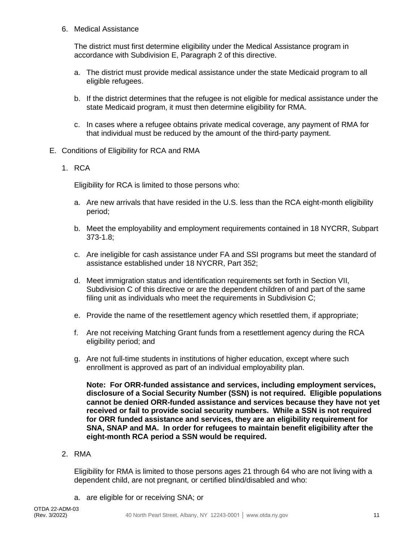6. Medical Assistance

The district must first determine eligibility under the Medical Assistance program in accordance with Subdivision E, Paragraph 2 of this directive.

- a. The district must provide medical assistance under the state Medicaid program to all eligible refugees.
- b. If the district determines that the refugee is not eligible for medical assistance under the state Medicaid program, it must then determine eligibility for RMA.
- c. In cases where a refugee obtains private medical coverage, any payment of RMA for that individual must be reduced by the amount of the third-party payment.
- E. Conditions of Eligibility for RCA and RMA
	- 1. RCA

Eligibility for RCA is limited to those persons who:

- a. Are new arrivals that have resided in the U.S. less than the RCA eight-month eligibility period;
- b. Meet the employability and employment requirements contained in 18 NYCRR, Subpart 373-1.8;
- c. Are ineligible for cash assistance under FA and SSI programs but meet the standard of assistance established under 18 NYCRR, Part 352;
- d. Meet immigration status and identification requirements set forth in Section VII, Subdivision C of this directive or are the dependent children of and part of the same filing unit as individuals who meet the requirements in Subdivision C;
- e. Provide the name of the resettlement agency which resettled them, if appropriate;
- f. Are not receiving Matching Grant funds from a resettlement agency during the RCA eligibility period; and
- g. Are not full-time students in institutions of higher education, except where such enrollment is approved as part of an individual employability plan.

**Note: For ORR-funded assistance and services, including employment services, disclosure of a Social Security Number (SSN) is not required. Eligible populations cannot be denied ORR-funded assistance and services because they have not yet received or fail to provide social security numbers. While a SSN is not required for ORR funded assistance and services, they are an eligibility requirement for SNA, SNAP and MA. In order for refugees to maintain benefit eligibility after the eight-month RCA period a SSN would be required.**

#### 2. RMA

Eligibility for RMA is limited to those persons ages 21 through 64 who are not living with a dependent child, are not pregnant, or certified blind/disabled and who:

a. are eligible for or receiving SNA; or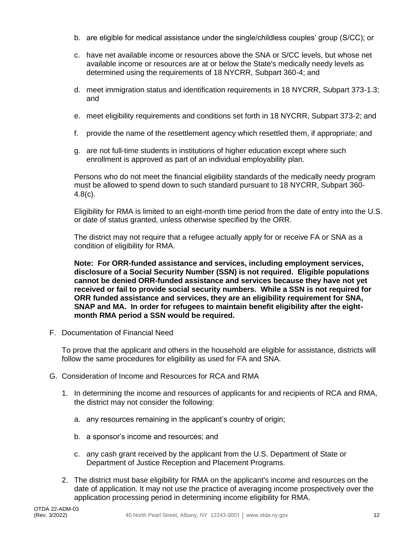- b. are eligible for medical assistance under the single/childless couples' group (S/CC); or
- c. have net available income or resources above the SNA or S/CC levels, but whose net available income or resources are at or below the State's medically needy levels as determined using the requirements of 18 NYCRR, Subpart 360-4; and
- d. meet immigration status and identification requirements in 18 NYCRR, Subpart 373-1.3; and
- e. meet eligibility requirements and conditions set forth in 18 NYCRR, Subpart 373-2; and
- f. provide the name of the resettlement agency which resettled them, if appropriate; and
- g. are not full-time students in institutions of higher education except where such enrollment is approved as part of an individual employability plan.

Persons who do not meet the financial eligibility standards of the medically needy program must be allowed to spend down to such standard pursuant to 18 NYCRR, Subpart 360- 4.8(c).

Eligibility for RMA is limited to an eight-month time period from the date of entry into the U.S. or date of status granted, unless otherwise specified by the ORR.

The district may not require that a refugee actually apply for or receive FA or SNA as a condition of eligibility for RMA.

**Note: For ORR-funded assistance and services, including employment services, disclosure of a Social Security Number (SSN) is not required. Eligible populations cannot be denied ORR-funded assistance and services because they have not yet received or fail to provide social security numbers. While a SSN is not required for ORR funded assistance and services, they are an eligibility requirement for SNA, SNAP and MA. In order for refugees to maintain benefit eligibility after the eightmonth RMA period a SSN would be required.**

F. Documentation of Financial Need

To prove that the applicant and others in the household are eligible for assistance, districts will follow the same procedures for eligibility as used for FA and SNA.

- G. Consideration of Income and Resources for RCA and RMA
	- 1. In determining the income and resources of applicants for and recipients of RCA and RMA, the district may not consider the following:
		- a. any resources remaining in the applicant's country of origin;
		- b. a sponsor's income and resources; and
		- c. any cash grant received by the applicant from the U.S. Department of State or Department of Justice Reception and Placement Programs.
	- 2. The district must base eligibility for RMA on the applicant's income and resources on the date of application. It may not use the practice of averaging income prospectively over the application processing period in determining income eligibility for RMA.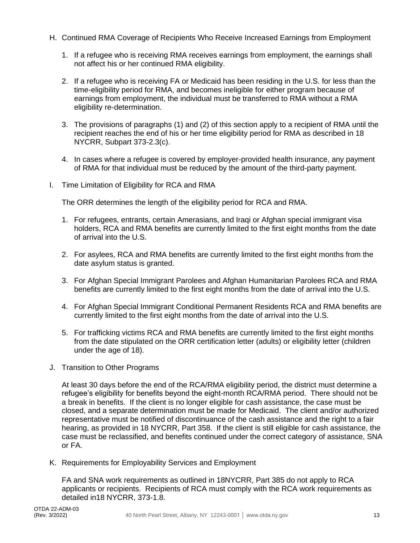- H. Continued RMA Coverage of Recipients Who Receive Increased Earnings from Employment
	- 1. If a refugee who is receiving RMA receives earnings from employment, the earnings shall not affect his or her continued RMA eligibility.
	- 2. If a refugee who is receiving FA or Medicaid has been residing in the U.S. for less than the time-eligibility period for RMA, and becomes ineligible for either program because of earnings from employment, the individual must be transferred to RMA without a RMA eligibility re-determination.
	- 3. The provisions of paragraphs (1) and (2) of this section apply to a recipient of RMA until the recipient reaches the end of his or her time eligibility period for RMA as described in 18 NYCRR, Subpart 373-2.3(c).
	- 4. In cases where a refugee is covered by employer-provided health insurance, any payment of RMA for that individual must be reduced by the amount of the third-party payment.
- I. Time Limitation of Eligibility for RCA and RMA

The ORR determines the length of the eligibility period for RCA and RMA.

- 1. For refugees, entrants, certain Amerasians, and Iraqi or Afghan special immigrant visa holders, RCA and RMA benefits are currently limited to the first eight months from the date of arrival into the U.S.
- 2. For asylees, RCA and RMA benefits are currently limited to the first eight months from the date asylum status is granted.
- 3. For Afghan Special Immigrant Parolees and Afghan Humanitarian Parolees RCA and RMA benefits are currently limited to the first eight months from the date of arrival into the U.S.
- 4. For Afghan Special Immigrant Conditional Permanent Residents RCA and RMA benefits are currently limited to the first eight months from the date of arrival into the U.S.
- 5. For trafficking victims RCA and RMA benefits are currently limited to the first eight months from the date stipulated on the ORR certification letter (adults) or eligibility letter (children under the age of 18).
- J. Transition to Other Programs

At least 30 days before the end of the RCA/RMA eligibility period, the district must determine a refugee's eligibility for benefits beyond the eight-month RCA/RMA period. There should not be a break in benefits. If the client is no longer eligible for cash assistance, the case must be closed, and a separate determination must be made for Medicaid. The client and/or authorized representative must be notified of discontinuance of the cash assistance and the right to a fair hearing, as provided in 18 NYCRR, Part 358. If the client is still eligible for cash assistance, the case must be reclassified, and benefits continued under the correct category of assistance, SNA or FA.

K. Requirements for Employability Services and Employment

FA and SNA work requirements as outlined in 18NYCRR, Part 385 do not apply to RCA applicants or recipients. Recipients of RCA must comply with the RCA work requirements as detailed in18 NYCRR, 373-1.8.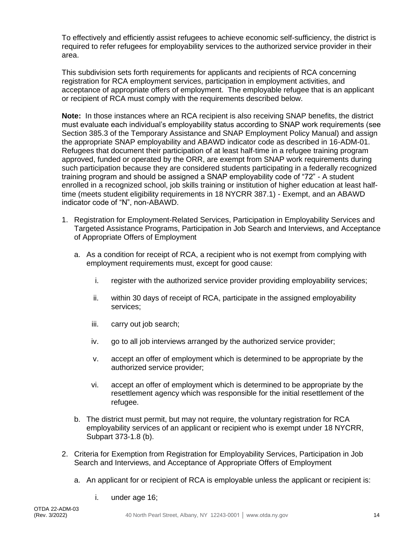To effectively and efficiently assist refugees to achieve economic self-sufficiency, the district is required to refer refugees for employability services to the authorized service provider in their area.

This subdivision sets forth requirements for applicants and recipients of RCA concerning registration for RCA employment services, participation in employment activities, and acceptance of appropriate offers of employment. The employable refugee that is an applicant or recipient of RCA must comply with the requirements described below.

**Note:** In those instances where an RCA recipient is also receiving SNAP benefits, the district must evaluate each individual's employability status according to SNAP work requirements (see Section 385.3 of the Temporary Assistance and SNAP Employment Policy Manual) and assign the appropriate SNAP employability and ABAWD indicator code as described in 16-ADM-01. Refugees that document their participation of at least half-time in a refugee training program approved, funded or operated by the ORR, are exempt from SNAP work requirements during such participation because they are considered students participating in a federally recognized training program and should be assigned a SNAP employability code of "72" - A student enrolled in a recognized school, job skills training or institution of higher education at least halftime (meets student eligibility requirements in 18 NYCRR 387.1) - Exempt, and an ABAWD indicator code of "N", non-ABAWD.

- 1. Registration for Employment-Related Services, Participation in Employability Services and Targeted Assistance Programs, Participation in Job Search and Interviews, and Acceptance of Appropriate Offers of Employment
	- a. As a condition for receipt of RCA, a recipient who is not exempt from complying with employment requirements must, except for good cause:
		- i. register with the authorized service provider providing employability services;
		- ii. within 30 days of receipt of RCA, participate in the assigned employability services;
		- iii. carry out job search;
		- iv. go to all job interviews arranged by the authorized service provider;
		- v. accept an offer of employment which is determined to be appropriate by the authorized service provider;
		- vi. accept an offer of employment which is determined to be appropriate by the resettlement agency which was responsible for the initial resettlement of the refugee.
	- b. The district must permit, but may not require, the voluntary registration for RCA employability services of an applicant or recipient who is exempt under 18 NYCRR, Subpart 373-1.8 (b).
- 2. Criteria for Exemption from Registration for Employability Services, Participation in Job Search and Interviews, and Acceptance of Appropriate Offers of Employment
	- a. An applicant for or recipient of RCA is employable unless the applicant or recipient is:
		- i. under age 16;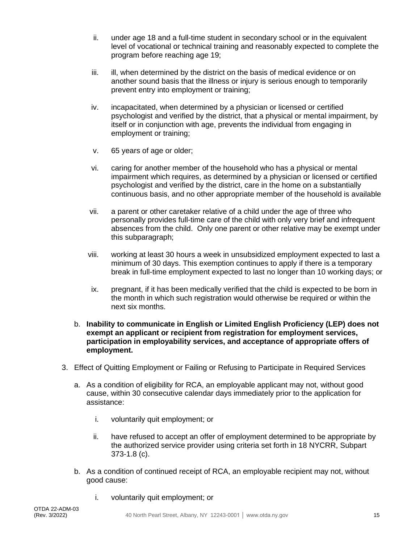- ii. under age 18 and a full-time student in secondary school or in the equivalent level of vocational or technical training and reasonably expected to complete the program before reaching age 19;
- iii. ill, when determined by the district on the basis of medical evidence or on another sound basis that the illness or injury is serious enough to temporarily prevent entry into employment or training;
- iv. incapacitated, when determined by a physician or licensed or certified psychologist and verified by the district, that a physical or mental impairment, by itself or in conjunction with age, prevents the individual from engaging in employment or training;
- v. 65 years of age or older;
- vi. caring for another member of the household who has a physical or mental impairment which requires, as determined by a physician or licensed or certified psychologist and verified by the district, care in the home on a substantially continuous basis, and no other appropriate member of the household is available
- vii. a parent or other caretaker relative of a child under the age of three who personally provides full-time care of the child with only very brief and infrequent absences from the child. Only one parent or other relative may be exempt under this subparagraph;
- viii. working at least 30 hours a week in unsubsidized employment expected to last a minimum of 30 days. This exemption continues to apply if there is a temporary break in full-time employment expected to last no longer than 10 working days; or
- ix. pregnant, if it has been medically verified that the child is expected to be born in the month in which such registration would otherwise be required or within the next six months.
- b. **Inability to communicate in English or Limited English Proficiency (LEP) does not exempt an applicant or recipient from registration for employment services, participation in employability services, and acceptance of appropriate offers of employment.**
- 3. Effect of Quitting Employment or Failing or Refusing to Participate in Required Services
	- a. As a condition of eligibility for RCA, an employable applicant may not, without good cause, within 30 consecutive calendar days immediately prior to the application for assistance:
		- i. voluntarily quit employment; or
		- ii. have refused to accept an offer of employment determined to be appropriate by the authorized service provider using criteria set forth in 18 NYCRR, Subpart 373-1.8 (c).
	- b. As a condition of continued receipt of RCA, an employable recipient may not, without good cause:
		- i. voluntarily quit employment; or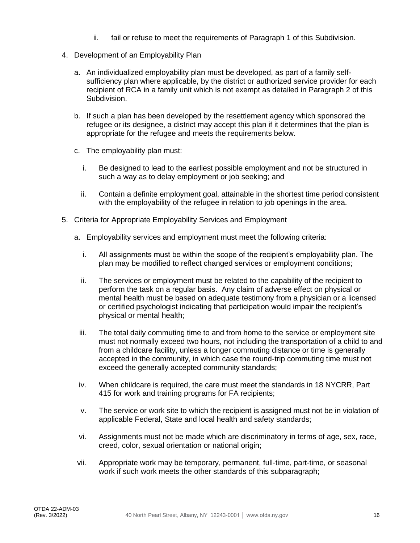- ii. fail or refuse to meet the requirements of Paragraph 1 of this Subdivision.
- 4. Development of an Employability Plan
	- a. An individualized employability plan must be developed, as part of a family selfsufficiency plan where applicable, by the district or authorized service provider for each recipient of RCA in a family unit which is not exempt as detailed in Paragraph 2 of this Subdivision.
	- b. If such a plan has been developed by the resettlement agency which sponsored the refugee or its designee, a district may accept this plan if it determines that the plan is appropriate for the refugee and meets the requirements below.
	- c. The employability plan must:
		- i. Be designed to lead to the earliest possible employment and not be structured in such a way as to delay employment or job seeking; and
		- ii. Contain a definite employment goal, attainable in the shortest time period consistent with the employability of the refugee in relation to job openings in the area.
- 5. Criteria for Appropriate Employability Services and Employment
	- a. Employability services and employment must meet the following criteria:
		- i. All assignments must be within the scope of the recipient's employability plan. The plan may be modified to reflect changed services or employment conditions;
		- ii. The services or employment must be related to the capability of the recipient to perform the task on a regular basis. Any claim of adverse effect on physical or mental health must be based on adequate testimony from a physician or a licensed or certified psychologist indicating that participation would impair the recipient's physical or mental health;
	- iii. The total daily commuting time to and from home to the service or employment site must not normally exceed two hours, not including the transportation of a child to and from a childcare facility, unless a longer commuting distance or time is generally accepted in the community, in which case the round-trip commuting time must not exceed the generally accepted community standards;
	- iv. When childcare is required, the care must meet the standards in 18 NYCRR, Part 415 for work and training programs for FA recipients;
	- v. The service or work site to which the recipient is assigned must not be in violation of applicable Federal, State and local health and safety standards;
	- vi. Assignments must not be made which are discriminatory in terms of age, sex, race, creed, color, sexual orientation or national origin;
	- vii. Appropriate work may be temporary, permanent, full-time, part-time, or seasonal work if such work meets the other standards of this subparagraph;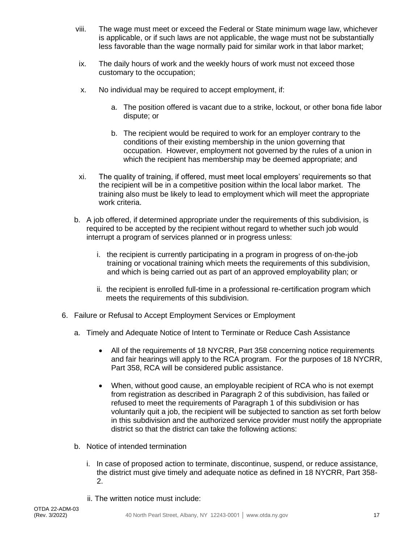- viii. The wage must meet or exceed the Federal or State minimum wage law, whichever is applicable, or if such laws are not applicable, the wage must not be substantially less favorable than the wage normally paid for similar work in that labor market;
- ix. The daily hours of work and the weekly hours of work must not exceed those customary to the occupation;
- x. No individual may be required to accept employment, if:
	- a. The position offered is vacant due to a strike, lockout, or other bona fide labor dispute; or
	- b. The recipient would be required to work for an employer contrary to the conditions of their existing membership in the union governing that occupation. However, employment not governed by the rules of a union in which the recipient has membership may be deemed appropriate; and
- xi. The quality of training, if offered, must meet local employers' requirements so that the recipient will be in a competitive position within the local labor market. The training also must be likely to lead to employment which will meet the appropriate work criteria.
- b. A job offered, if determined appropriate under the requirements of this subdivision, is required to be accepted by the recipient without regard to whether such job would interrupt a program of services planned or in progress unless:
	- i. the recipient is currently participating in a program in progress of on-the-job training or vocational training which meets the requirements of this subdivision, and which is being carried out as part of an approved employability plan; or
	- ii. the recipient is enrolled full-time in a professional re-certification program which meets the requirements of this subdivision.
- 6. Failure or Refusal to Accept Employment Services or Employment
	- a. Timely and Adequate Notice of Intent to Terminate or Reduce Cash Assistance
		- All of the requirements of 18 NYCRR, Part 358 concerning notice requirements and fair hearings will apply to the RCA program. For the purposes of 18 NYCRR, Part 358, RCA will be considered public assistance.
		- When, without good cause, an employable recipient of RCA who is not exempt from registration as described in Paragraph 2 of this subdivision, has failed or refused to meet the requirements of Paragraph 1 of this subdivision or has voluntarily quit a job, the recipient will be subjected to sanction as set forth below in this subdivision and the authorized service provider must notify the appropriate district so that the district can take the following actions:
	- b. Notice of intended termination
		- i. In case of proposed action to terminate, discontinue, suspend, or reduce assistance, the district must give timely and adequate notice as defined in 18 NYCRR, Part 358- 2.
		- ii. The written notice must include: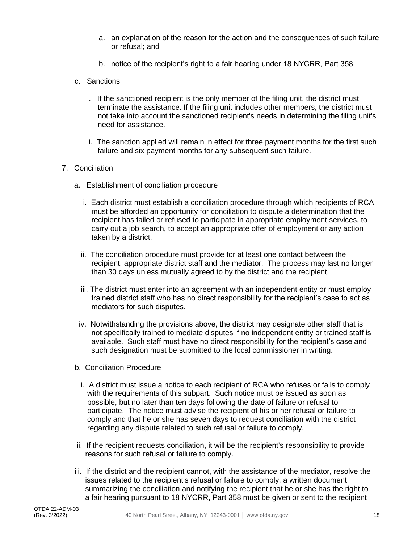- a. an explanation of the reason for the action and the consequences of such failure or refusal; and
- b. notice of the recipient's right to a fair hearing under 18 NYCRR, Part 358.
- c. Sanctions
	- i. If the sanctioned recipient is the only member of the filing unit, the district must terminate the assistance. If the filing unit includes other members, the district must not take into account the sanctioned recipient's needs in determining the filing unit's need for assistance.
	- ii. The sanction applied will remain in effect for three payment months for the first such failure and six payment months for any subsequent such failure.

#### 7. Conciliation

- a. Establishment of conciliation procedure
	- i. Each district must establish a conciliation procedure through which recipients of RCA must be afforded an opportunity for conciliation to dispute a determination that the recipient has failed or refused to participate in appropriate employment services, to carry out a job search, to accept an appropriate offer of employment or any action taken by a district.
	- ii. The conciliation procedure must provide for at least one contact between the recipient, appropriate district staff and the mediator. The process may last no longer than 30 days unless mutually agreed to by the district and the recipient.
	- iii. The district must enter into an agreement with an independent entity or must employ trained district staff who has no direct responsibility for the recipient's case to act as mediators for such disputes.
- iv. Notwithstanding the provisions above, the district may designate other staff that is not specifically trained to mediate disputes if no independent entity or trained staff is available. Such staff must have no direct responsibility for the recipient's case and such designation must be submitted to the local commissioner in writing.
- b. Conciliation Procedure
	- i. A district must issue a notice to each recipient of RCA who refuses or fails to comply with the requirements of this subpart. Such notice must be issued as soon as possible, but no later than ten days following the date of failure or refusal to participate. The notice must advise the recipient of his or her refusal or failure to comply and that he or she has seven days to request conciliation with the district regarding any dispute related to such refusal or failure to comply.
- ii. If the recipient requests conciliation, it will be the recipient's responsibility to provide reasons for such refusal or failure to comply.
- iii. If the district and the recipient cannot, with the assistance of the mediator, resolve the issues related to the recipient's refusal or failure to comply, a written document summarizing the conciliation and notifying the recipient that he or she has the right to a fair hearing pursuant to 18 NYCRR, Part 358 must be given or sent to the recipient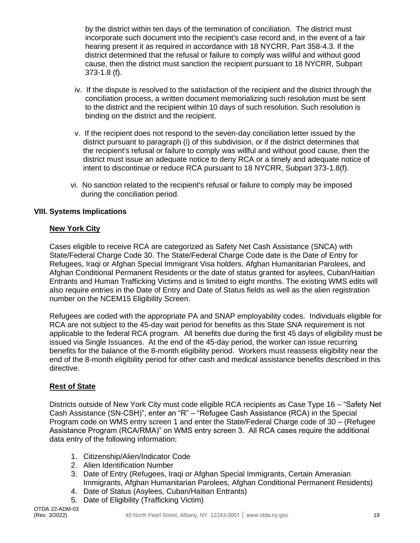by the district within ten days of the termination of conciliation. The district must incorporate such document into the recipient's case record and, in the event of a fair hearing present it as required in accordance with 18 NYCRR, Part 358-4.3. If the district determined that the refusal or failure to comply was willful and without good cause, then the district must sanction the recipient pursuant to 18 NYCRR, Subpart 373-1.8 (f).

- iv. If the dispute is resolved to the satisfaction of the recipient and the district through the conciliation process, a written document memorializing such resolution must be sent to the district and the recipient within 10 days of such resolution. Such resolution is binding on the district and the recipient.
- v. If the recipient does not respond to the seven-day conciliation letter issued by the district pursuant to paragraph (i) of this subdivision, or if the district determines that the recipient's refusal or failure to comply was willful and without good cause, then the district must issue an adequate notice to deny RCA or a timely and adequate notice of intent to discontinue or reduce RCA pursuant to 18 NYCRR, Subpart 373-1.8(f).
- vi. No sanction related to the recipient's refusal or failure to comply may be imposed during the conciliation period.

#### **VIII. Systems Implications**

#### **New York City**

Cases eligible to receive RCA are categorized as Safety Net Cash Assistance (SNCA) with State/Federal Charge Code 30. The State/Federal Charge Code date is the Date of Entry for Refugees, Iraqi or Afghan Special Immigrant Visa holders, Afghan Humanitarian Parolees, and Afghan Conditional Permanent Residents or the date of status granted for asylees, Cuban/Haitian Entrants and Human Trafficking Victims and is limited to eight months. The existing WMS edits will also require entries in the Date of Entry and Date of Status fields as well as the alien registration number on the NCEM15 Eligibility Screen.

Refugees are coded with the appropriate PA and SNAP employability codes. Individuals eligible for RCA are not subject to the 45-day wait period for benefits as this State SNA requirement is not applicable to the federal RCA program. All benefits due during the first 45 days of eligibility must be issued via Single Issuances. At the end of the 45-day period, the worker can issue recurring benefits for the balance of the 8-month eligibility period. Workers must reassess eligibility near the end of the 8-month eligibility period for other cash and medical assistance benefits described in this directive.

#### **Rest of State**

Districts outside of New York City must code eligible RCA recipients as Case Type 16 – "Safety Net Cash Assistance (SN-CSH)", enter an "R" – "Refugee Cash Assistance (RCA) in the Special Program code on WMS entry screen 1 and enter the State/Federal Charge code of 30 – (Refugee Assistance Program (RCA/RMA)" on WMS entry screen 3. All RCA cases require the additional data entry of the following information:

- 1. Citizenship/Alien/Indicator Code
- 2. Alien Identification Number
- 3. Date of Entry (Refugees, Iraqi or Afghan Special Immigrants, Certain Amerasian Immigrants, Afghan Humanitarian Parolees, Afghan Conditional Permanent Residents)
- 4. Date of Status (Asylees, Cuban/Haitian Entrants)
- 5. Date of Eligibility (Trafficking Victim)